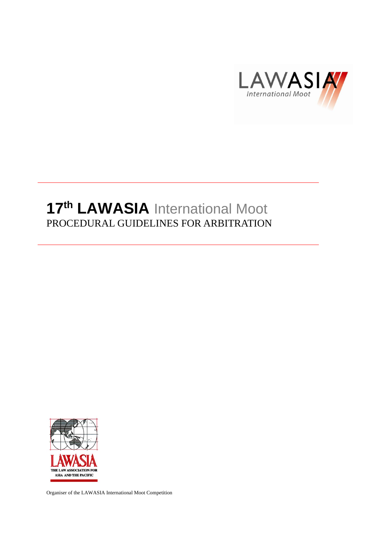

# **17 th LAWASIA** International Moot PROCEDURAL GUIDELINES FOR ARBITRATION



Organiser of the LAWASIA International Moot Competition